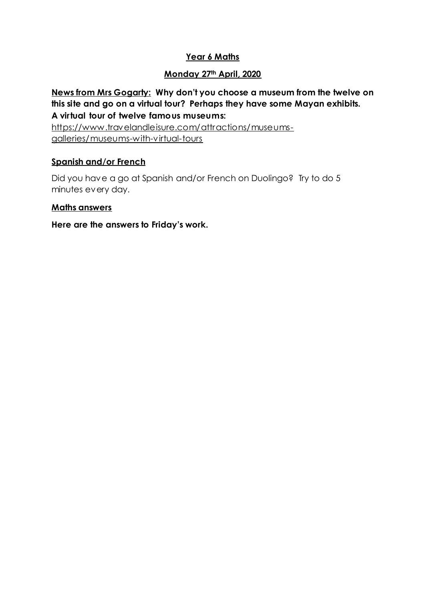### **Year 6 Maths**

## **Monday 27th April, 2020**

**News from Mrs Gogarty: Why don't you choose a museum from the twelve on this site and go on a virtual tour? Perhaps they have some Mayan exhibits. A virtual tour of twelve famous museums:** [https://www.travelandleisure.com/attractions/museums](https://www.travelandleisure.com/attractions/museums-galleries/museums-with-virtual-tours)[galleries/museums-with-virtual-tours](https://www.travelandleisure.com/attractions/museums-galleries/museums-with-virtual-tours)

### **Spanish and/or French**

Did you have a go at Spanish and/or French on Duolingo? Try to do 5 minutes every day.

### **Maths answers**

**Here are the answers to Friday's work.**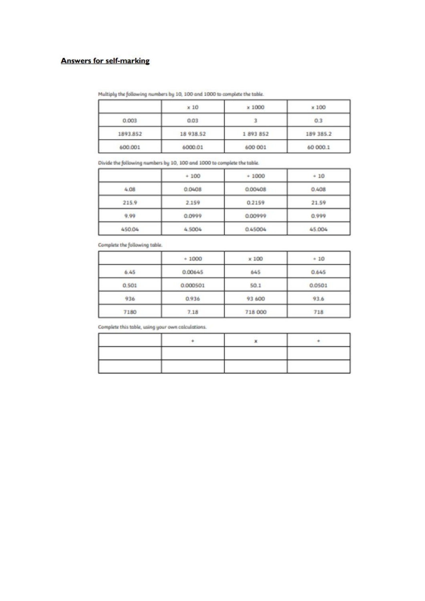### **Answers for self-marking**

|  | Multiply the following numbers by 10, 100 and 1000 to complete the table. |
|--|---------------------------------------------------------------------------|
|  |                                                                           |

|          | x 10     | $\times 1000$ | × 100     |
|----------|----------|---------------|-----------|
| 0.003    | 0.03     |               | 0.3       |
| 1893.852 | 18938.52 | 1 893 852     | 189 385.2 |
| 600.001  | 6000.01  | 600 001       | 60 000.1  |

Divide the following numbers by 10, 100 and 1000 to complete the table.

|        | $+100$ | $+1000$ | $+10$  |
|--------|--------|---------|--------|
| 4.08   | 0.0408 | 0.00408 | 0.408  |
| 215.9  | 2.159  | 0.2159  | 21.59  |
| 9.99   | 0.0999 | 0.00999 | 0.999  |
| 450.04 | 4.5004 | 0.45004 | 45.004 |

Complete the following table.

|       | $+1000$  | x 100   | $+10$  |
|-------|----------|---------|--------|
| 6.45  | 0.00645  | 645     | 0.645  |
| 0.501 | 0.000501 | 50.1    | 0.0501 |
| 936   | 0.936    | 93 600  | 93.6   |
| 7180  | 7.18     | 718 000 | 718    |

Complete this table, using your own calculations.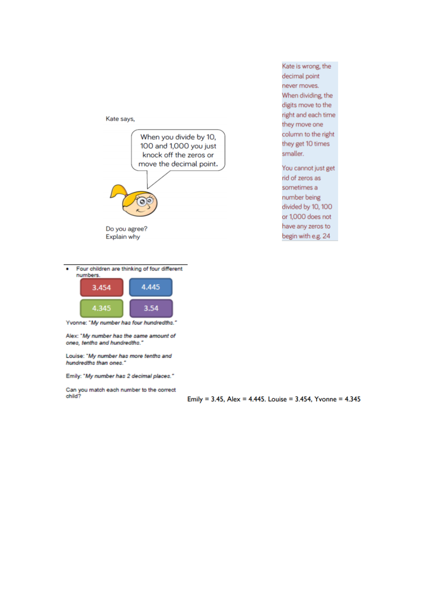

Kate is wrong, the decimal point never moves. When dividing, the digits move to the right and each time they move one column to the right they get 10 times smaller.

You cannot just get rid of zeros as sometimes a number being divided by 10, 100 or 1,000 does not have any zeros to begin with e.g. 24

Four children are thinking of four different  $\cdot$ numbers.



Yvonne: "My number has four hundredths."

Alex: "My number has the same amount of ones, tenths and hundredths."

Louise: "My number has more tenths and hundredths than ones."

Emily: "My number has 2 decimal places."

Can you match each number to the correct<br>child?

Emily = 3.45, Alex = 4.445. Louise = 3.454, Yvonne =  $4.345$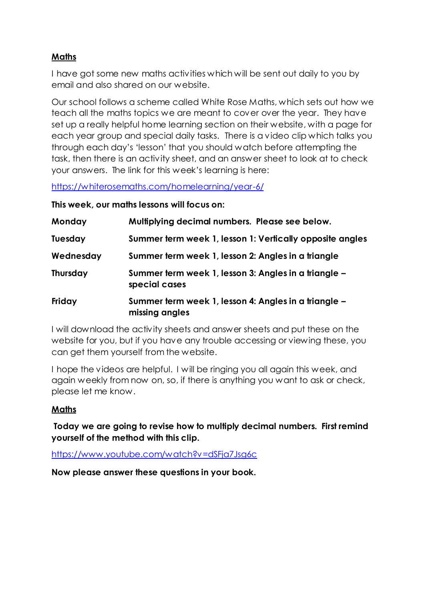### **Maths**

I have got some new maths activities which will be sent out daily to you by email and also shared on our website.

Our school follows a scheme called White Rose Maths, which sets out how we teach all the maths topics we are meant to cover over the year. They have set up a really helpful home learning section on their website, with a page for each year group and special daily tasks. There is a video clip which talks you through each day's 'lesson' that you should watch before attempting the task, then there is an activity sheet, and an answer sheet to look at to check your answers. The link for this week's learning is here:

<https://whiterosemaths.com/homelearning/year-6/>

**This week, our maths lessons will focus on:**

| Monday          | Multiplying decimal numbers. Please see below.                         |
|-----------------|------------------------------------------------------------------------|
| Tuesday         | Summer term week 1, lesson 1: Vertically opposite angles               |
| Wednesday       | Summer term week 1, lesson 2: Angles in a triangle                     |
| <b>Thursday</b> | Summer term week 1, lesson 3: Angles in a triangle -<br>special cases  |
| <b>Friday</b>   | Summer term week 1, lesson 4: Angles in a triangle -<br>missing angles |

I will download the activity sheets and answer sheets and put these on the website for you, but if you have any trouble accessing or viewing these, you can get them yourself from the website.

I hope the videos are helpful. I will be ringing you all again this week, and again weekly from now on, so, if there is anything you want to ask or check, please let me know.

### **Maths**

**Today we are going to revise how to multiply decimal numbers. First remind yourself of the method with this clip.**

<https://www.youtube.com/watch?v=dSFja7Jsg6c>

**Now please answer these questions in your book.**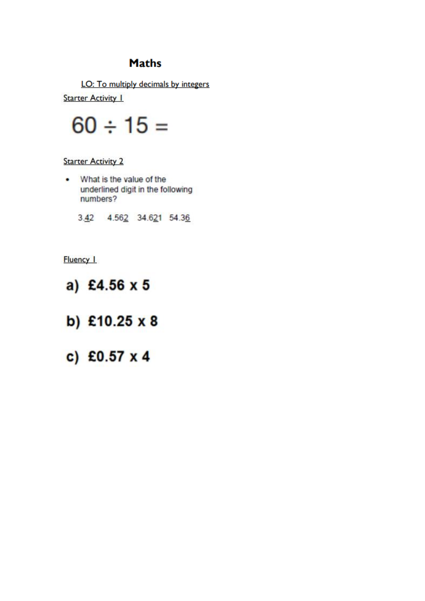## **Maths**

LO: To multiply decimals by integers **Starter Activity I** 



#### **Starter Activity 2**

• What is the value of the underlined digit in the following numbers?

3.42 4.562 34.621 54.36

**Fluency I** 

# a) £4.56  $x$  5

## b) £10.25  $x 8$

c) £0.57  $\times$  4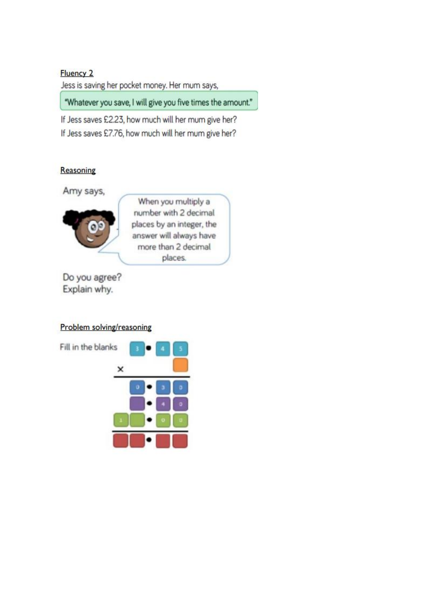#### **Fluency 2**

Jess is saving her pocket money. Her mum says,

"Whatever you save, I will give you five times the amount."

If Jess saves £2.23, how much will her mum give her? If Jess saves £7.76, how much will her mum give her?

#### Reasoning





When you multiply a number with 2 decimal places by an integer, the answer will always have more than 2 decimal places.

Do you agree? Explain why.

### Problem solving/reasoning

Fill in the blanks